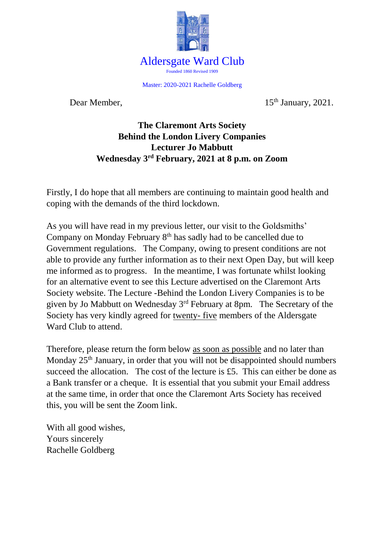

Master: 2020-2021 Rachelle Goldberg

Dear Member, 15<sup>th</sup> January, 2021.

## **The Claremont Arts Society Behind the London Livery Companies Lecturer Jo Mabbutt Wednesday 3rd February, 2021 at 8 p.m. on Zoom**

Firstly, I do hope that all members are continuing to maintain good health and coping with the demands of the third lockdown.

As you will have read in my previous letter, our visit to the Goldsmiths' Company on Monday February 8<sup>th</sup> has sadly had to be cancelled due to Government regulations. The Company, owing to present conditions are not able to provide any further information as to their next Open Day, but will keep me informed as to progress. In the meantime, I was fortunate whilst looking for an alternative event to see this Lecture advertised on the Claremont Arts Society website. The Lecture -Behind the London Livery Companies is to be given by Jo Mabbutt on Wednesday 3rd February at 8pm. The Secretary of the Society has very kindly agreed for twenty- five members of the Aldersgate Ward Club to attend.

Therefore, please return the form below as soon as possible and no later than Monday  $25<sup>th</sup>$  January, in order that you will not be disappointed should numbers succeed the allocation. The cost of the lecture is £5. This can either be done as a Bank transfer or a cheque. It is essential that you submit your Email address at the same time, in order that once the Claremont Arts Society has received this, you will be sent the Zoom link.

With all good wishes, Yours sincerely Rachelle Goldberg